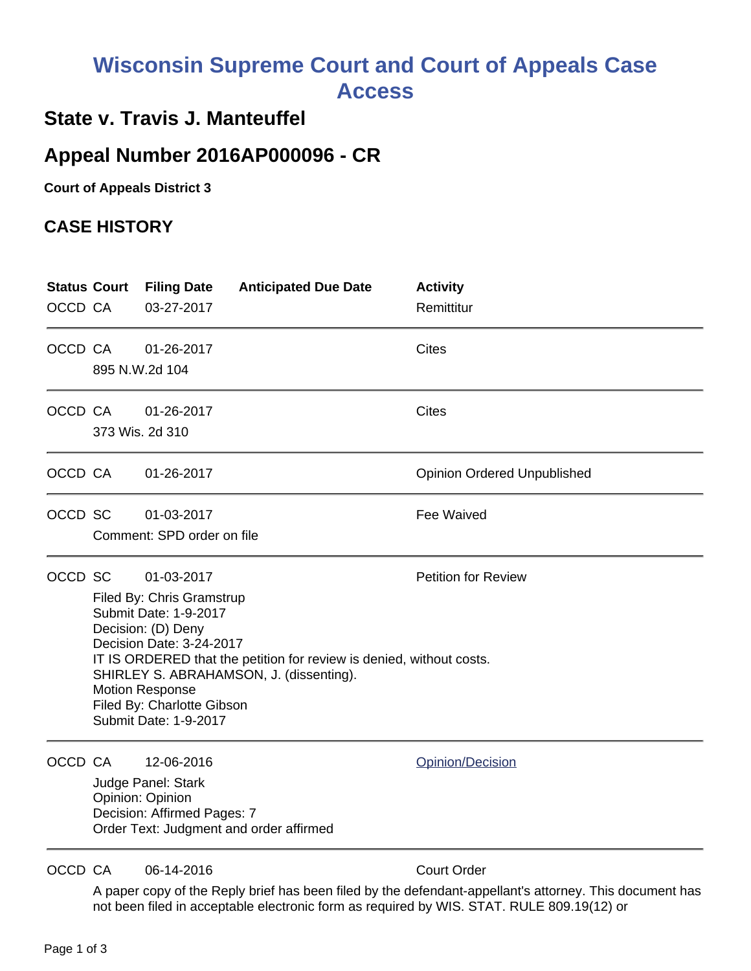## **Wisconsin Supreme Court and Court of Appeals Case Access**

## **State v. Travis J. Manteuffel**

## **Appeal Number 2016AP000096 - CR**

**Court of Appeals District 3**

## **CASE HISTORY**

| OCCD CA | <b>Status Court</b>                                                                                                                                                                                                                                                                                                                                  | <b>Filing Date</b><br>03-27-2017                                                    | <b>Anticipated Due Date</b>             | <b>Activity</b><br>Remittitur                                                                                                 |
|---------|------------------------------------------------------------------------------------------------------------------------------------------------------------------------------------------------------------------------------------------------------------------------------------------------------------------------------------------------------|-------------------------------------------------------------------------------------|-----------------------------------------|-------------------------------------------------------------------------------------------------------------------------------|
| OCCD CA |                                                                                                                                                                                                                                                                                                                                                      | 01-26-2017<br>895 N.W.2d 104                                                        |                                         | <b>Cites</b>                                                                                                                  |
|         | OCCD CA                                                                                                                                                                                                                                                                                                                                              | 01-26-2017<br>373 Wis. 2d 310                                                       |                                         | <b>Cites</b>                                                                                                                  |
| OCCD CA |                                                                                                                                                                                                                                                                                                                                                      | 01-26-2017                                                                          |                                         | <b>Opinion Ordered Unpublished</b>                                                                                            |
| OCCD SC |                                                                                                                                                                                                                                                                                                                                                      | 01-03-2017<br>Comment: SPD order on file                                            |                                         | Fee Waived                                                                                                                    |
| OCCD SC | <b>Petition for Review</b><br>01-03-2017<br>Filed By: Chris Gramstrup<br>Submit Date: 1-9-2017<br>Decision: (D) Deny<br>Decision Date: 3-24-2017<br>IT IS ORDERED that the petition for review is denied, without costs.<br>SHIRLEY S. ABRAHAMSON, J. (dissenting).<br><b>Motion Response</b><br>Filed By: Charlotte Gibson<br>Submit Date: 1-9-2017 |                                                                                     |                                         |                                                                                                                               |
| OCCD CA |                                                                                                                                                                                                                                                                                                                                                      | 12-06-2016<br>Judge Panel: Stark<br>Opinion: Opinion<br>Decision: Affirmed Pages: 7 | Order Text: Judgment and order affirmed | Opinion/Decision                                                                                                              |
| OCCD CA |                                                                                                                                                                                                                                                                                                                                                      | 06-14-2016                                                                          |                                         | <b>Court Order</b><br>A popolazioni et the Depli buiet hoe heep filed bu the defendent concllente etterneur. This decument he |

A paper copy of the Reply brief has been filed by the defendant-appellant's attorney. This document has not been filed in acceptable electronic form as required by WIS. STAT. RULE 809.19(12) or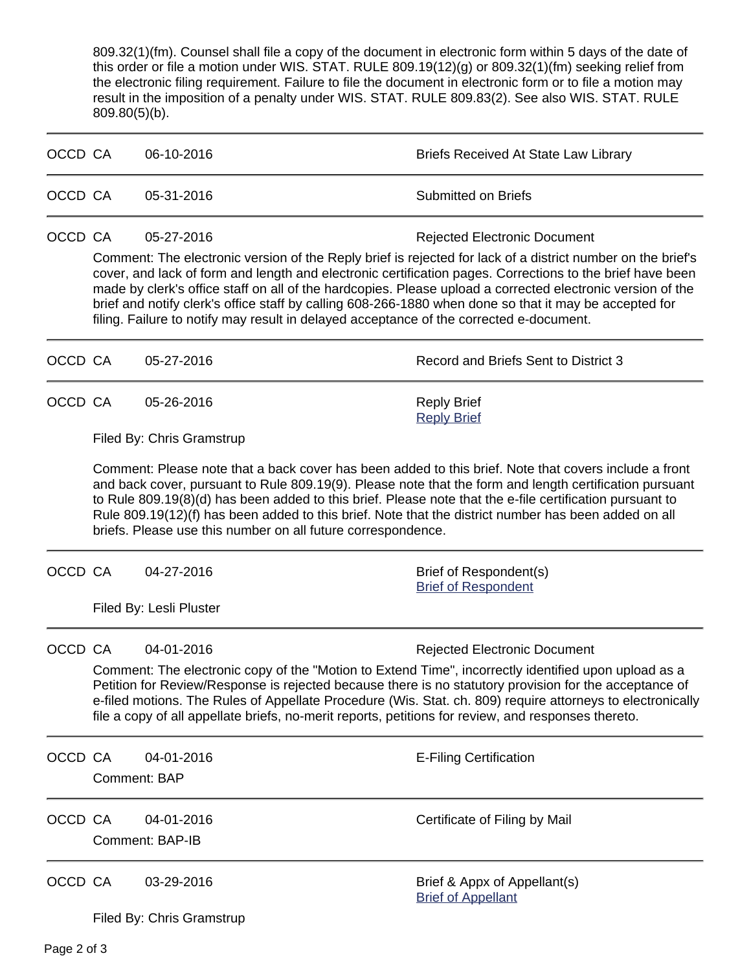809.32(1)(fm). Counsel shall file a copy of the document in electronic form within 5 days of the date of this order or file a motion under WIS. STAT. RULE 809.19(12)(g) or 809.32(1)(fm) seeking relief from the electronic filing requirement. Failure to file the document in electronic form or to file a motion may result in the imposition of a penalty under WIS. STAT. RULE 809.83(2). See also WIS. STAT. RULE 809.80(5)(b).

| OCCD CA |                                                                                                                                                                                                                                                                                                                                                                                                                                                                                                                                                                                                  | 06-10-2016                                                                                                                                                                                                                                                                                                                                                                                                                                                                                           | <b>Briefs Received At State Law Library</b>                                                                                                                                                                                                                                                                                                                         |  |  |  |
|---------|--------------------------------------------------------------------------------------------------------------------------------------------------------------------------------------------------------------------------------------------------------------------------------------------------------------------------------------------------------------------------------------------------------------------------------------------------------------------------------------------------------------------------------------------------------------------------------------------------|------------------------------------------------------------------------------------------------------------------------------------------------------------------------------------------------------------------------------------------------------------------------------------------------------------------------------------------------------------------------------------------------------------------------------------------------------------------------------------------------------|---------------------------------------------------------------------------------------------------------------------------------------------------------------------------------------------------------------------------------------------------------------------------------------------------------------------------------------------------------------------|--|--|--|
| OCCD CA |                                                                                                                                                                                                                                                                                                                                                                                                                                                                                                                                                                                                  | 05-31-2016                                                                                                                                                                                                                                                                                                                                                                                                                                                                                           | <b>Submitted on Briefs</b>                                                                                                                                                                                                                                                                                                                                          |  |  |  |
| OCCD CA | 05-27-2016<br><b>Rejected Electronic Document</b><br>Comment: The electronic version of the Reply brief is rejected for lack of a district number on the brief's<br>cover, and lack of form and length and electronic certification pages. Corrections to the brief have been<br>made by clerk's office staff on all of the hardcopies. Please upload a corrected electronic version of the<br>brief and notify clerk's office staff by calling 608-266-1880 when done so that it may be accepted for<br>filing. Failure to notify may result in delayed acceptance of the corrected e-document. |                                                                                                                                                                                                                                                                                                                                                                                                                                                                                                      |                                                                                                                                                                                                                                                                                                                                                                     |  |  |  |
| OCCD CA |                                                                                                                                                                                                                                                                                                                                                                                                                                                                                                                                                                                                  | 05-27-2016                                                                                                                                                                                                                                                                                                                                                                                                                                                                                           | Record and Briefs Sent to District 3                                                                                                                                                                                                                                                                                                                                |  |  |  |
| OCCD CA |                                                                                                                                                                                                                                                                                                                                                                                                                                                                                                                                                                                                  | 05-26-2016<br>Filed By: Chris Gramstrup                                                                                                                                                                                                                                                                                                                                                                                                                                                              | <b>Reply Brief</b><br><b>Reply Brief</b>                                                                                                                                                                                                                                                                                                                            |  |  |  |
|         |                                                                                                                                                                                                                                                                                                                                                                                                                                                                                                                                                                                                  | Comment: Please note that a back cover has been added to this brief. Note that covers include a front<br>and back cover, pursuant to Rule 809.19(9). Please note that the form and length certification pursuant<br>to Rule 809.19(8)(d) has been added to this brief. Please note that the e-file certification pursuant to<br>Rule 809.19(12)(f) has been added to this brief. Note that the district number has been added on all<br>briefs. Please use this number on all future correspondence. |                                                                                                                                                                                                                                                                                                                                                                     |  |  |  |
| OCCD CA |                                                                                                                                                                                                                                                                                                                                                                                                                                                                                                                                                                                                  | 04-27-2016                                                                                                                                                                                                                                                                                                                                                                                                                                                                                           | Brief of Respondent(s)<br><b>Brief of Respondent</b>                                                                                                                                                                                                                                                                                                                |  |  |  |
|         |                                                                                                                                                                                                                                                                                                                                                                                                                                                                                                                                                                                                  | Filed By: Lesli Pluster                                                                                                                                                                                                                                                                                                                                                                                                                                                                              |                                                                                                                                                                                                                                                                                                                                                                     |  |  |  |
| OCCD CA |                                                                                                                                                                                                                                                                                                                                                                                                                                                                                                                                                                                                  | 04-01-2016<br>file a copy of all appellate briefs, no-merit reports, petitions for review, and responses thereto.                                                                                                                                                                                                                                                                                                                                                                                    | <b>Rejected Electronic Document</b><br>Comment: The electronic copy of the "Motion to Extend Time", incorrectly identified upon upload as a<br>Petition for Review/Response is rejected because there is no statutory provision for the acceptance of<br>e-filed motions. The Rules of Appellate Procedure (Wis. Stat. ch. 809) require attorneys to electronically |  |  |  |
| OCCD CA |                                                                                                                                                                                                                                                                                                                                                                                                                                                                                                                                                                                                  | 04-01-2016<br>Comment: BAP                                                                                                                                                                                                                                                                                                                                                                                                                                                                           | <b>E-Filing Certification</b>                                                                                                                                                                                                                                                                                                                                       |  |  |  |
| OCCD CA |                                                                                                                                                                                                                                                                                                                                                                                                                                                                                                                                                                                                  | 04-01-2016<br><b>Comment: BAP-IB</b>                                                                                                                                                                                                                                                                                                                                                                                                                                                                 | Certificate of Filing by Mail                                                                                                                                                                                                                                                                                                                                       |  |  |  |
| OCCD CA |                                                                                                                                                                                                                                                                                                                                                                                                                                                                                                                                                                                                  | 03-29-2016<br>Filed By: Chris Gramstrup                                                                                                                                                                                                                                                                                                                                                                                                                                                              | Brief & Appx of Appellant(s)<br><b>Brief of Appellant</b>                                                                                                                                                                                                                                                                                                           |  |  |  |